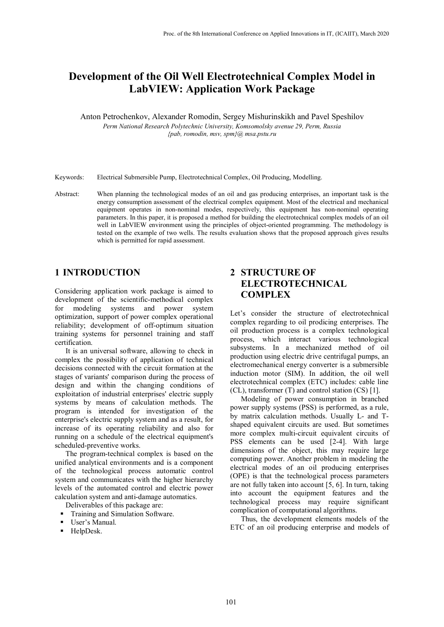# **Development of the Oil Well Electrotechnical Complex Model in LabVIEW: Application Work Package**

Anton Petrochenkov, Alexander Romodin, Sergey Mishurinskikh and Pavel Speshilov *Perm National Research Polytechnic University, Komsomolsky avenue 29, Perm, Russia {pab, romodin, msv, spm}@ msa.pstu.ru*

Keywords: Electrical Submersible Pump, Electrotechnical Complex, Oil Producing, Modelling.

Abstract: When planning the technological modes of an oil and gas producing enterprises, an important task is the energy consumption assessment of the electrical complex equipment. Most of the electrical and mechanical equipment operates in non-nominal modes, respectively, this equipment has non-nominal operating parameters. In this paper, it is proposed a method for building the electrotechnical complex models of an oil well in LabVIEW environment using the principles of object-oriented programming. The methodology is tested on the example of two wells. The results evaluation shows that the proposed approach gives results which is permitted for rapid assessment.

# **1 INTRODUCTION**

Considering application work package is aimed to development of the scientific-methodical complex for modeling systems and power system optimization, support of power complex operational reliability; development of off-optimum situation training systems for personnel training and staff certification.

It is an universal software, allowing to check in complex the possibility of application of technical decisions connected with the circuit formation at the stages of variants' comparison during the process of design and within the changing conditions of exploitation of industrial enterprises' electric supply systems by means of calculation methods. The program is intended for investigation of the enterprise's electric supply system and as a result, for increase of its operating reliability and also for running on a schedule of the electrical equipment's scheduled-preventive works.

The program-technical complex is based on the unified analytical environments and is a component of the technological process automatic control system and communicates with the higher hierarchy levels of the automated control and electric power calculation system and anti-damage automatics.

- Deliverables of this package are:
- **Training and Simulation Software.**
- User's Manual.
- HelpDesk.

# **2 STRUCTURE OF ELECTROTECHNICAL COMPLEX**

Let's consider the structure of electrotechnical complex regarding to oil prodicing enterprises. The oil production process is a complex technological process, which interact various technological subsystems. In a mechanized method of oil production using electric drive centrifugal pumps, an electromechanical energy converter is a submersible induction motor (SIM). In addition, the oil well electrotechnical complex (ETC) includes: cable line (CL), transformer (T) and control station (CS) [1].

Modeling of power consumption in branched power supply systems (PSS) is performed, as a rule, by matrix calculation methods. Usually L- and Tshaped equivalent circuits are used. But sometimes more complex multi-circuit equivalent circuits of PSS elements can be used [2-4]. With large dimensions of the object, this may require large computing power. Another problem in modeling the electrical modes of an oil producing enterprises (OPE) is that the technological process parameters are not fully taken into account [5, 6]. In turn, taking into account the equipment features and the technological process may require significant complication of computational algorithms.

Thus, the development elements models of the ETC of an oil producing enterprise and models of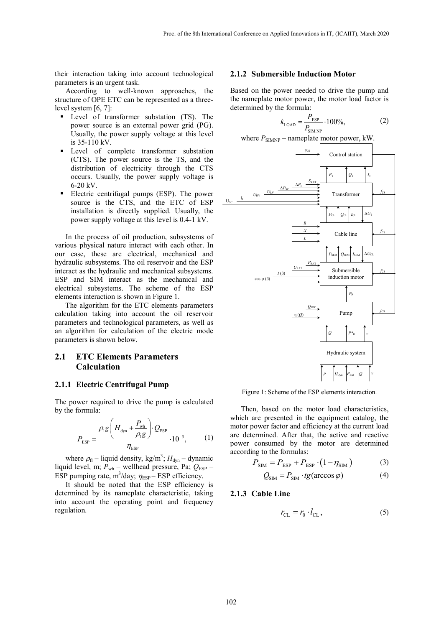their interaction taking into account technological parameters is an urgent task.

According to well-known approaches, the structure of OPE ETC can be represented as a threelevel system [6, 7]:

- **Level of transformer substation (TS).** The power source is an external power grid (PG). Usually, the power supply voltage at this level is 35-110 kV.
- **Level** of complete transformer substation (CTS). The power source is the TS, and the distribution of electricity through the CTS occurs. Usually, the power supply voltage is 6-20 kV.
- **Electric centrifugal pumps (ESP). The power** source is the CTS, and the ETC of ESP installation is directly supplied. Usually, the power supply voltage at this level is 0.4-1 kV.

In the process of oil production, subsystems of various physical nature interact with each other. In our case, these are electrical, mechanical and hydraulic subsystems. The oil reservoir and the ESP interact as the hydraulic and mechanical subsystems. ESP and SIM interact as the mechanical and electrical subsystems. The scheme of the ESP elements interaction is shown in Figure 1.

The algorithm for the ETC elements parameters calculation taking into account the oil reservoir parameters and technological parameters, as well as an algorithm for calculation of the electric mode parameters is shown below.

### **2.1 ETC Elements Parameters Calculation**

### **2.1.1 Electric Centrifugal Pump**

The power required to drive the pump is calculated by the formula:

$$
P_{\rm ESP} = \frac{\rho_{\rm I}g\left(H_{\rm dyn} + \frac{P_{\rm wh}}{\rho_{\rm I}g}\right)\cdot Q_{\rm ESP}}{\eta_{\rm ESP}} \cdot 10^{-3},\tag{1}
$$

where  $\rho_{\rm fl}$  – liquid density, kg/m<sup>3</sup>;  $H_{\rm dyn}$  – dynamic liquid level, m;  $P_{wh}$  – wellhead pressure, Pa;  $Q_{ESP}$  – ESP pumping rate, m<sup>3</sup>/day;  $\eta_{\text{ESP}}$  – ESP efficiency.

It should be noted that the ESP efficiency is determined by its nameplate characteristic, taking into account the operating point and frequency regulation.

### **2.1.2 Submersible Induction Motor**

Based on the power needed to drive the pump and the nameplate motor power, the motor load factor is determined by the formula:

$$
k_{\text{LOAD}} = \frac{P_{\text{ESP}}}{P_{\text{SIM.NP}}} \cdot 100\%,\tag{2}
$$





Figure 1: Scheme of the ESP elements interaction.

Then, based on the motor load characteristics, which are presented in the equipment catalog, the motor power factor and efficiency at the current load are determined. After that, the active and reactive power consumed by the motor are determined according to the formulas:

$$
P_{\text{SIM}} = P_{\text{ESP}} + P_{\text{ESP}} \cdot (1 - \eta_{\text{SIM}}) \tag{3}
$$

$$
Q_{\text{SIM}} = P_{\text{SIM}} \cdot tg(\arccos \varphi) \tag{4}
$$

### **2.1.3 Cable Line**

$$
r_{\rm CL} = r_0 \cdot l_{\rm CL},\tag{5}
$$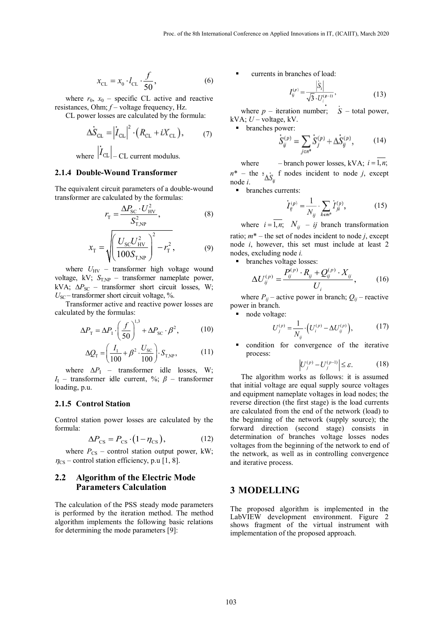$$
x_{\rm CL} = x_0 \cdot l_{\rm CL} \cdot \frac{f}{50},\tag{6}
$$

where  $r_0$ ,  $x_0$  – specific CL active and reactive resistances, Ohm; *f* – voltage frequency, Hz.

CL power losses are calculated by the formula:

$$
\Delta S_{\text{CL}} = |\dot{I}_{\text{CL}}|^{2} \cdot (R_{\text{CL}} + iX_{\text{CL}}), \qquad (7)
$$
  
where  $|\dot{I}_{\text{CL}}|$  – CL current modulus.

#### **2.1.4 Double-Wound Transformer**

The equivalent circuit parameters of a double-wound transformer are calculated by the formulas:

$$
r_{\rm T} = \frac{\Delta P_{\rm SC} \cdot U_{\rm HV}^2}{S_{\rm T,NP}^2},\tag{8}
$$

$$
x_{\rm T} = \sqrt{\left(\frac{U_{\rm SC} U_{\rm HV}^2}{100 S_{\rm T, NP}}\right)^2 - r_{\rm T}^2},\tag{9}
$$

where  $U_{\text{HV}}$  – transformer high voltage wound voltage, kV;  $S_{T,NP}$  – transformer nameplate power, kVA;  $\Delta P_{SC}$  – transformer short circuit losses, W;  $U_{\text{SC}}$  – transformer short circuit voltage, %.

Transformer active and reactive power losses are calculated by the formulas:

$$
\Delta P_{\rm T} = \Delta P_{\rm I} \cdot \left(\frac{f}{50}\right)^{1.3} + \Delta P_{\rm SC} \cdot \beta^2, \tag{10}
$$

$$
\Delta Q_{\rm T} = \left(\frac{I_{\rm I}}{100} + \beta^2 \cdot \frac{U_{\rm SC}}{100}\right) \cdot S_{\rm T,NP},\tag{11}
$$

where  $\Delta P_I$  – transformer idle losses, W; *I*I – transformer idle current, %; *β* – transformer loading, p.u.

### **2.1.5 Control Station**

Control station power losses are calculated by the formula:

$$
\Delta P_{\rm CS} = P_{\rm CS} \cdot (1 - \eta_{\rm CS}),\tag{12}
$$

where  $P_{CS}$  – control station output power, kW;  $\eta_{\text{CS}}$  – control station efficiency, p.u [1, 8].

### **2.2 Algorithm of the Electric Mode Parameters Calculation**

The calculation of the PSS steady mode parameters is performed by the iteration method. The method algorithm implements the following basic relations for determining the mode parameters [9]:

currents in branches of load:

$$
I_{ij}^{(p)} = \frac{|S_i|}{\sqrt{3} \cdot U_i^{(p-1)}},\tag{13}
$$

where  $p$  – iteration number;  $\dot{S}$  – total power,  $kVA$ ;  $U$  – voltage,  $kV$ .

branches power:<br> $\dot{S}_{ij}^{(p)} = \sum_{i \in \mathbb{N}^*} \dot{S}_{j}^{(p)} + \Delta \dot{S}_{ij}^{(p)},$ (14)

where – branch power losses, kVA;  $i = \overline{1, n}$ ;  $n^*$  – the s<sub> $\Delta S_{ij}$ </sub> f nodes incident to node *j*, except node *i*.

**•** branches currents:

$$
\dot{I}_{ij}^{(\rho)} = \frac{1}{N_{ij}} \sum_{k \in m^*} I_{jk}^{(\rho)}, \tag{15}
$$

where  $i = \overline{1, n}$ ;  $N_{ij}$  – *ij* branch transformation ratio;  $m^*$  – the set of nodes incident to node *j*, except node *i*, however, this set must include at least 2 nodes, excluding node *i.*

branches voltage losses:

$$
\Delta U_{ij}^{(p)} = \frac{P_{ij}^{(p)} \cdot R_{ij} + Q_{ij}^{(p)} \cdot X_{ij}}{U_i},
$$
 (16)

where  $P_{ij}$  – active power in branch;  $Q_{ij}$  – reactive power in branch.

node voltage:

$$
U_j^{(p)} = \frac{1}{N_{ij}} \cdot \left( U_i^{(p)} - \Delta U_{ij}^{(p)} \right),\tag{17}
$$

 condition for convergence of the iterative process:

$$
\left| U_j^{(p)} - U_j^{(p-1)} \right| \le \varepsilon. \tag{18}
$$

The algorithm works as follows: it is assumed that initial voltage are equal supply source voltages and equipment nameplate voltages in load nodes; the reverse direction (the first stage) is the load currents are calculated from the end of the network (load) to the beginning of the network (supply source); the forward direction (second stage) consists in determination of branches voltage losses nodes voltages from the beginning of the network to end of the network, as well as in controlling convergence and iterative process.

### **3 MODELLING**

The proposed algorithm is implemented in the LabVIEW development environment. Figure 2 shows fragment of the virtual instrument with implementation of the proposed approach.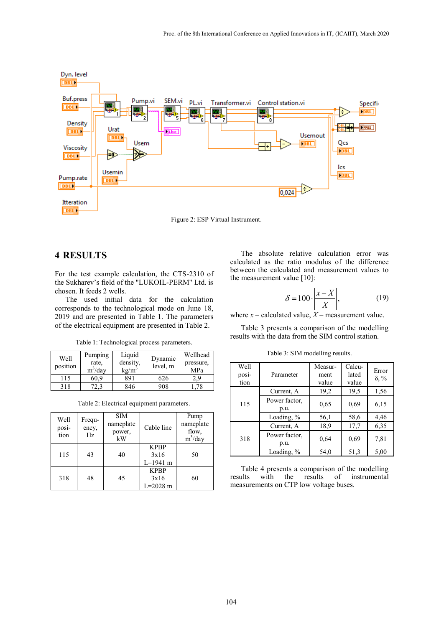

Figure 2: ESP Virtual Instrument.

# **4 RESULTS**

For the test example calculation, the CTS-2310 of the Sukharev's field of the "LUKOIL-PERM" Ltd. is chosen. It feeds 2 wells.

The used initial data for the calculation corresponds to the technological mode on June 18, 2019 and are presented in Table 1. The parameters of the electrical equipment are presented in Table 2.

Table 1: Technological process parameters.

| Well<br>position | Pumping<br>rate,<br>$m^3$ /day | Liquid<br>density,<br>$kg/m^3$ | Dynamic<br>level, m | Wellhead<br>pressure,<br><b>MPa</b> |
|------------------|--------------------------------|--------------------------------|---------------------|-------------------------------------|
| 115              | 60.9                           | 891                            | 626                 | 2,9                                 |
| 318              |                                | 846                            | 908                 | 78ء                                 |

Table 2: Electrical equipment parameters.

| Well<br>posi-<br>tion | Frequ-<br>ency,<br>Hz | <b>SIM</b><br>nameplate<br>power,<br>kW | Cable line                          | Pump<br>nameplate<br>flow,<br>$m^3$ /day |
|-----------------------|-----------------------|-----------------------------------------|-------------------------------------|------------------------------------------|
| 115                   | 43                    | 40                                      | <b>KPBP</b><br>3x16<br>$L=1941$ m   | 50                                       |
| 318                   | 48                    | 45                                      | <b>KPBP</b><br>3x16<br>$L = 2028$ m | 60                                       |

The absolute relative calculation error was calculated as the ratio modulus of the difference between the calculated and measurement values to the measurement value [10]:

$$
\delta = 100 \cdot \left| \frac{x - X}{X} \right|,\tag{19}
$$

where  $x$  – calculated value,  $X$  – measurement value.

Table 3 presents a comparison of the modelling results with the data from the SIM control station.

Well position Parameter Measurment value Calculated value Error δ, % 115 Current, A 19,2 19,5 1,56 Power factor, p.u.  $0,65$  0,69 6,15 Loading, % 56,1 58,6 4,46 318 Current, A 18,9 17,7 6,35 Power factor, p.u.  $0,64$  0,69 7,81 Loading, % 54,0 51,3 5,00

Table 3: SIM modelling results.

Table 4 presents a comparison of the modelling<br>results with the results of instrumental with the results of instrumental measurements on CTP low voltage buses.